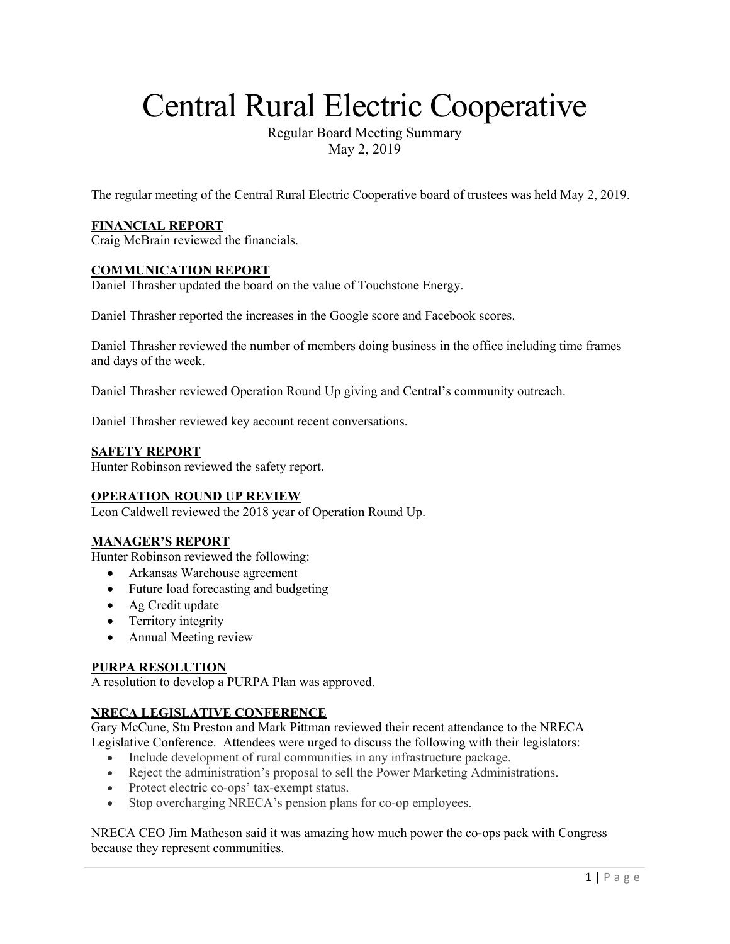# Central Rural Electric Cooperative

Regular Board Meeting Summary May 2, 2019

The regular meeting of the Central Rural Electric Cooperative board of trustees was held May 2, 2019.

#### **FINANCIAL REPORT**

Craig McBrain reviewed the financials.

#### **COMMUNICATION REPORT**

Daniel Thrasher updated the board on the value of Touchstone Energy.

Daniel Thrasher reported the increases in the Google score and Facebook scores.

Daniel Thrasher reviewed the number of members doing business in the office including time frames and days of the week.

Daniel Thrasher reviewed Operation Round Up giving and Central's community outreach.

Daniel Thrasher reviewed key account recent conversations.

#### **SAFETY REPORT**

Hunter Robinson reviewed the safety report.

#### **OPERATION ROUND UP REVIEW**

Leon Caldwell reviewed the 2018 year of Operation Round Up.

#### **MANAGER'S REPORT**

Hunter Robinson reviewed the following:

- Arkansas Warehouse agreement
- Future load forecasting and budgeting
- Ag Credit update
- Territory integrity
- Annual Meeting review

#### **PURPA RESOLUTION**

A resolution to develop a PURPA Plan was approved.

#### **NRECA LEGISLATIVE CONFERENCE**

Gary McCune, Stu Preston and Mark Pittman reviewed their recent attendance to the NRECA Legislative Conference. Attendees were urged to discuss the following with their legislators:

- Include development of rural communities in any infrastructure package.
- Reject the administration's proposal to sell the Power Marketing Administrations.
- Protect electric co-ops' tax-exempt status.
- Stop overcharging NRECA's pension plans for co-op employees.

NRECA CEO Jim Matheson said it was amazing how much power the co-ops pack with Congress because they represent communities.